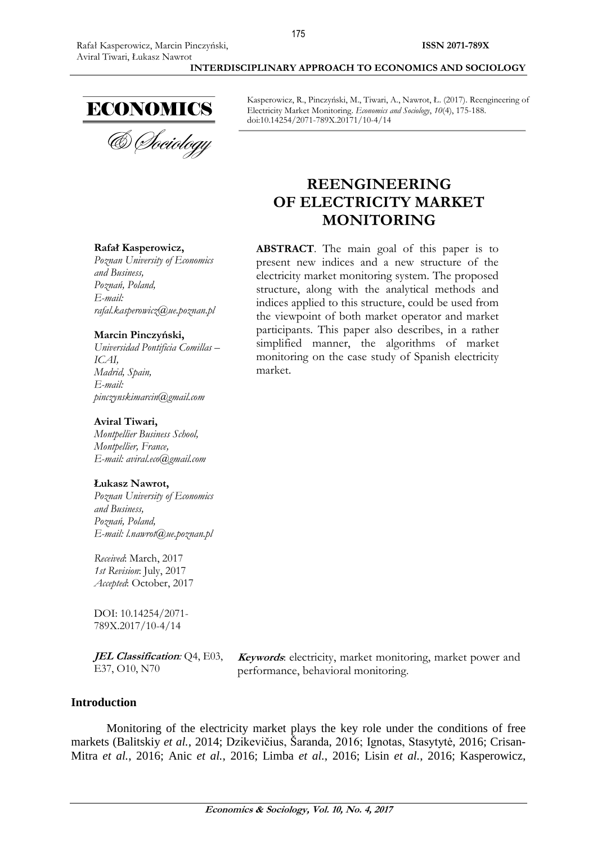

Kasperowicz, R., Pinczyński, M., Tiwari, A., Nawrot, Ł. (2017). Reengineering of Electricity Market Monitoring. *Economics and Sociology*, *10*(4), 175-188. doi:10.14254/2071-789X.20171/10-4/14

# **REENGINEERING OF ELECTRICITY MARKET MONITORING**

**ABSTRACT**. The main goal of this paper is to present new indices and a new structure of the electricity market monitoring system. The proposed structure, along with the analytical methods and indices applied to this structure, could be used from the viewpoint of both market operator and market participants. This paper also describes, in a rather simplified manner, the algorithms of market monitoring on the case study of Spanish electricity

# **Rafał Kasperowicz,**

*Poznan University of Economics and Business, Poznań, Poland, E-mail: rafal.kasperowicz@ue.poznan.pl*

#### **Marcin Pinczyński,**

*Universidad Pontificia Comillas – ICAI, Madrid, Spain, E-mail: [pinczynskimarcin@gmail.com](mailto:pinczynskimarcin@gmail.com)*

### **Aviral Tiwari,**

*Montpellier Business School, Montpellier, France, E-mail: [aviral.eco@gmail.com](mailto:aviral.eco@gmail.com)*

# **Łukasz Nawrot,**

*Poznan University of Economics and Business, Poznań, Poland, E-mail: l.nawrot@ue.poznan.pl*

*Received*: March, 2017 *1st Revision*: July, 2017 *Accepted*: October, 2017

DOI: 10.14254/2071- 789X.2017/10-4/14

**JEL Classification***:* Q4, E03, E37, O10, N70

**Keywords**: electricity, market monitoring, market power and performance, behavioral monitoring.

# **Introduction**

Monitoring of the electricity market plays the key role under the conditions of free markets (Balitskiy *et al.*, 2014; Dzikevičius, Šaranda, 2016; Ignotas, Stasytytė, 2016; Crisan-Mitra *et al.*, 2016; Anic *et al.*, 2016; Limba *et al.*, 2016; Lisin *et al.*, 2016; Kasperowicz,

market.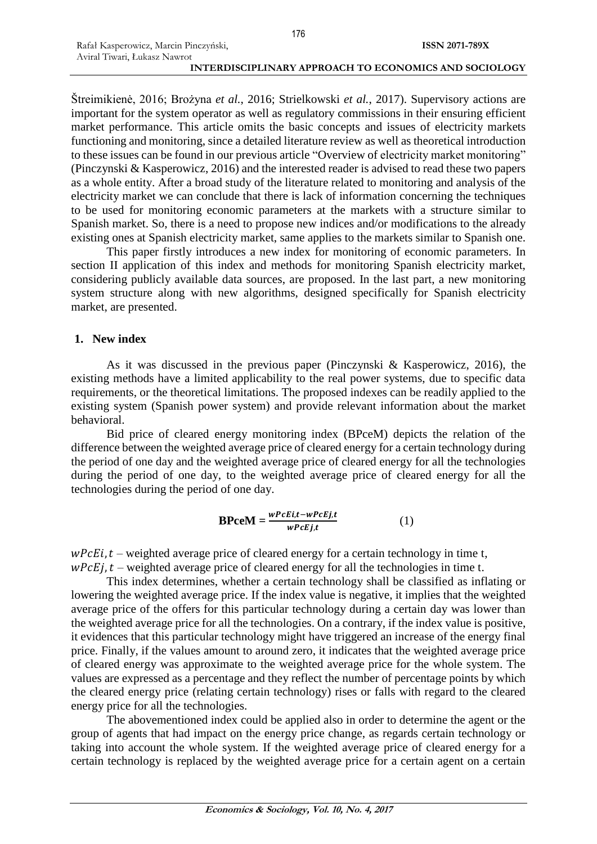Štreimikienė, 2016; Brożyna *et al.*, 2016; Strielkowski *et al.*, 2017). Supervisory actions are important for the system operator as well as regulatory commissions in their ensuring efficient market performance. This article omits the basic concepts and issues of electricity markets functioning and monitoring, since a detailed literature review as well as theoretical introduction to these issues can be found in our previous article "Overview of electricity market monitoring" (Pinczynski & Kasperowicz, 2016) and the interested reader is advised to read these two papers as a whole entity. After a broad study of the literature related to monitoring and analysis of the electricity market we can conclude that there is lack of information concerning the techniques to be used for monitoring economic parameters at the markets with a structure similar to Spanish market. So, there is a need to propose new indices and/or modifications to the already existing ones at Spanish electricity market, same applies to the markets similar to Spanish one.

This paper firstly introduces a new index for monitoring of economic parameters. In section II application of this index and methods for monitoring Spanish electricity market, considering publicly available data sources, are proposed. In the last part, a new monitoring system structure along with new algorithms, designed specifically for Spanish electricity market, are presented.

# **1. New index**

As it was discussed in the previous paper (Pinczynski & Kasperowicz, 2016), the existing methods have a limited applicability to the real power systems, due to specific data requirements, or the theoretical limitations. The proposed indexes can be readily applied to the existing system (Spanish power system) and provide relevant information about the market behavioral.

Bid price of cleared energy monitoring index (BPceM) depicts the relation of the difference between the weighted average price of cleared energy for a certain technology during the period of one day and the weighted average price of cleared energy for all the technologies during the period of one day, to the weighted average price of cleared energy for all the technologies during the period of one day.

$$
B PceM = \frac{wPcE i, t - wPcE j, t}{wPcE j, t}
$$
 (1)

 $wPcEi$ ,  $t$  – weighted average price of cleared energy for a certain technology in time t,  $wPcE\hat{i}$ ,  $t$  – weighted average price of cleared energy for all the technologies in time t.

This index determines, whether a certain technology shall be classified as inflating or lowering the weighted average price. If the index value is negative, it implies that the weighted average price of the offers for this particular technology during a certain day was lower than the weighted average price for all the technologies. On a contrary, if the index value is positive, it evidences that this particular technology might have triggered an increase of the energy final price. Finally, if the values amount to around zero, it indicates that the weighted average price of cleared energy was approximate to the weighted average price for the whole system. The values are expressed as a percentage and they reflect the number of percentage points by which the cleared energy price (relating certain technology) rises or falls with regard to the cleared energy price for all the technologies.

The abovementioned index could be applied also in order to determine the agent or the group of agents that had impact on the energy price change, as regards certain technology or taking into account the whole system. If the weighted average price of cleared energy for a certain technology is replaced by the weighted average price for a certain agent on a certain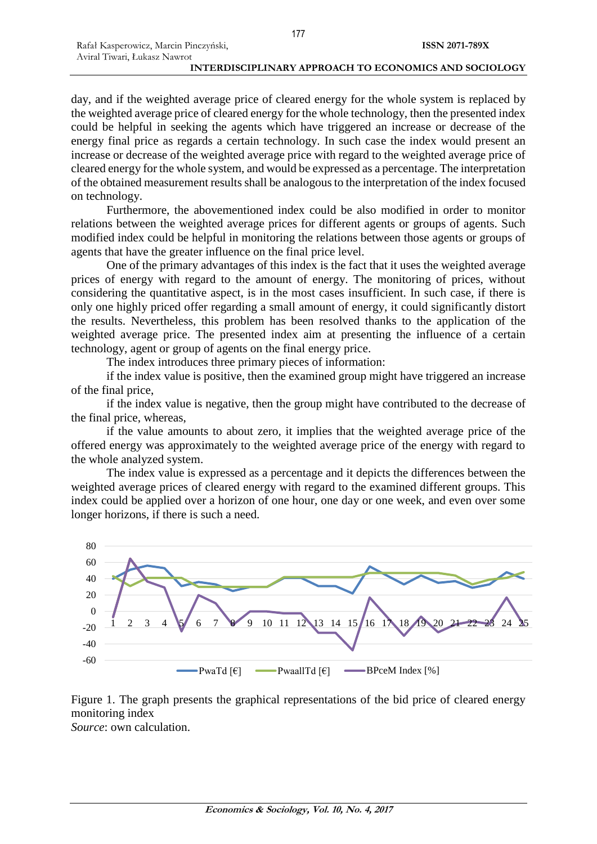day, and if the weighted average price of cleared energy for the whole system is replaced by the weighted average price of cleared energy for the whole technology, then the presented index could be helpful in seeking the agents which have triggered an increase or decrease of the energy final price as regards a certain technology. In such case the index would present an increase or decrease of the weighted average price with regard to the weighted average price of cleared energy for the whole system, and would be expressed as a percentage. The interpretation of the obtained measurement results shall be analogous to the interpretation of the index focused on technology.

Furthermore, the abovementioned index could be also modified in order to monitor relations between the weighted average prices for different agents or groups of agents. Such modified index could be helpful in monitoring the relations between those agents or groups of agents that have the greater influence on the final price level.

One of the primary advantages of this index is the fact that it uses the weighted average prices of energy with regard to the amount of energy. The monitoring of prices, without considering the quantitative aspect, is in the most cases insufficient. In such case, if there is only one highly priced offer regarding a small amount of energy, it could significantly distort the results. Nevertheless, this problem has been resolved thanks to the application of the weighted average price. The presented index aim at presenting the influence of a certain technology, agent or group of agents on the final energy price.

The index introduces three primary pieces of information:

if the index value is positive, then the examined group might have triggered an increase of the final price,

if the index value is negative, then the group might have contributed to the decrease of the final price, whereas,

if the value amounts to about zero, it implies that the weighted average price of the offered energy was approximately to the weighted average price of the energy with regard to the whole analyzed system.

The index value is expressed as a percentage and it depicts the differences between the weighted average prices of cleared energy with regard to the examined different groups. This index could be applied over a horizon of one hour, one day or one week, and even over some longer horizons, if there is such a need.



Figure 1. The graph presents the graphical representations of the bid price of cleared energy monitoring index

*Source*: own calculation.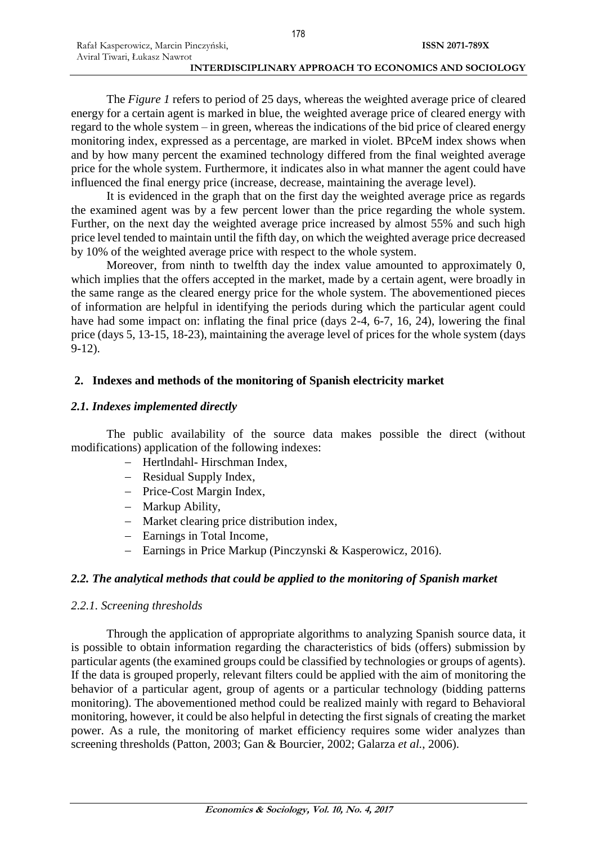The *Figure 1* refers to period of 25 days, whereas the weighted average price of cleared energy for a certain agent is marked in blue, the weighted average price of cleared energy with regard to the whole system – in green, whereas the indications of the bid price of cleared energy monitoring index, expressed as a percentage, are marked in violet. BPceM index shows when and by how many percent the examined technology differed from the final weighted average price for the whole system. Furthermore, it indicates also in what manner the agent could have influenced the final energy price (increase, decrease, maintaining the average level).

It is evidenced in the graph that on the first day the weighted average price as regards the examined agent was by a few percent lower than the price regarding the whole system. Further, on the next day the weighted average price increased by almost 55% and such high price level tended to maintain until the fifth day, on which the weighted average price decreased by 10% of the weighted average price with respect to the whole system.

Moreover, from ninth to twelfth day the index value amounted to approximately 0, which implies that the offers accepted in the market, made by a certain agent, were broadly in the same range as the cleared energy price for the whole system. The abovementioned pieces of information are helpful in identifying the periods during which the particular agent could have had some impact on: inflating the final price (days 2-4, 6-7, 16, 24), lowering the final price (days 5, 13-15, 18-23), maintaining the average level of prices for the whole system (days 9-12).

# **2. Indexes and methods of the monitoring of Spanish electricity market**

# *2.1. Indexes implemented directly*

The public availability of the source data makes possible the direct (without modifications) application of the following indexes:

- Hertlndahl-Hirschman Index,
- Residual Supply Index,
- Price-Cost Margin Index,
- Markup Ability,
- Market clearing price distribution index,
- Earnings in Total Income.
- Earnings in Price Markup (Pinczynski & Kasperowicz, 2016).

# *2.2. The analytical methods that could be applied to the monitoring of Spanish market*

# *2.2.1. Screening thresholds*

Through the application of appropriate algorithms to analyzing Spanish source data, it is possible to obtain information regarding the characteristics of bids (offers) submission by particular agents (the examined groups could be classified by technologies or groups of agents). If the data is grouped properly, relevant filters could be applied with the aim of monitoring the behavior of a particular agent, group of agents or a particular technology (bidding patterns monitoring). The abovementioned method could be realized mainly with regard to Behavioral monitoring, however, it could be also helpful in detecting the first signals of creating the market power. As a rule, the monitoring of market efficiency requires some wider analyzes than screening thresholds (Patton, 2003; Gan & Bourcier, 2002; Galarza *et al.*, 2006).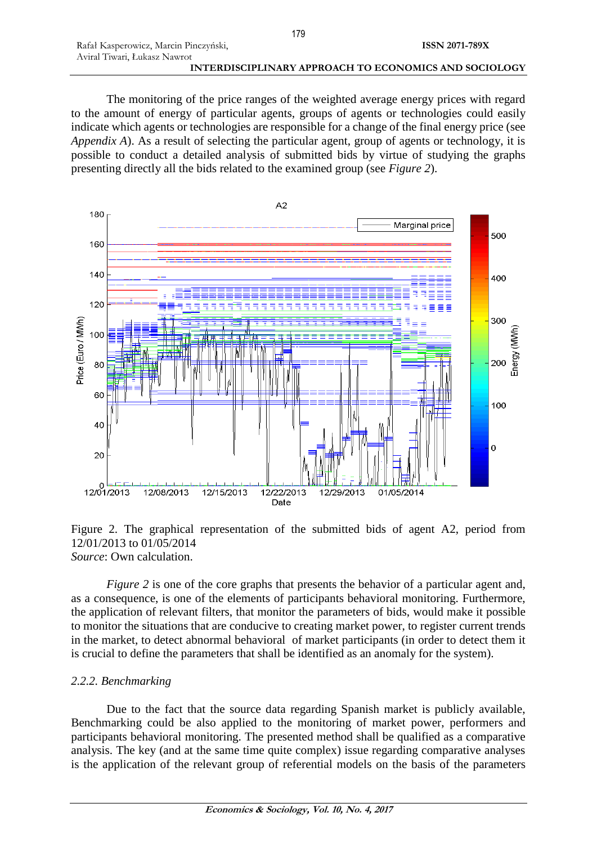Rafał Kasperowicz, Marcin Pinczyński,

Aviral Tiwari, Łukasz Nawrot

The monitoring of the price ranges of the weighted average energy prices with regard to the amount of energy of particular agents, groups of agents or technologies could easily indicate which agents or technologies are responsible for a change of the final energy price (see *Appendix A*). As a result of selecting the particular agent, group of agents or technology, it is possible to conduct a detailed analysis of submitted bids by virtue of studying the graphs presenting directly all the bids related to the examined group (see *Figure 2*).





*Figure 2* is one of the core graphs that presents the behavior of a particular agent and, as a consequence, is one of the elements of participants behavioral monitoring. Furthermore, the application of relevant filters, that monitor the parameters of bids, would make it possible to monitor the situations that are conducive to creating market power, to register current trends in the market, to detect abnormal behavioral of market participants (in order to detect them it is crucial to define the parameters that shall be identified as an anomaly for the system).

#### *2.2.2. Benchmarking*

Due to the fact that the source data regarding Spanish market is publicly available, Benchmarking could be also applied to the monitoring of market power, performers and participants behavioral monitoring. The presented method shall be qualified as a comparative analysis. The key (and at the same time quite complex) issue regarding comparative analyses is the application of the relevant group of referential models on the basis of the parameters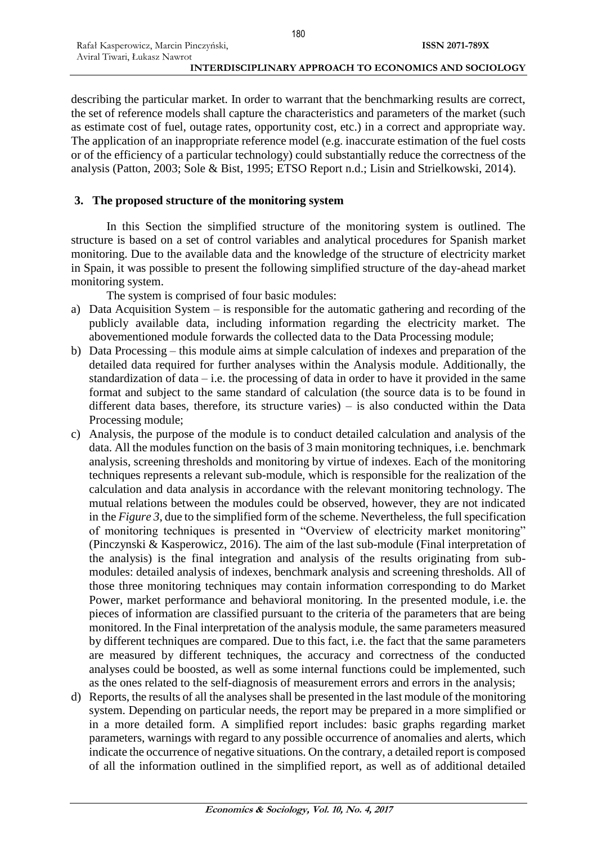describing the particular market. In order to warrant that the benchmarking results are correct, the set of reference models shall capture the characteristics and parameters of the market (such as estimate cost of fuel, outage rates, opportunity cost, etc.) in a correct and appropriate way. The application of an inappropriate reference model (e.g. inaccurate estimation of the fuel costs or of the efficiency of a particular technology) could substantially reduce the correctness of the analysis (Patton, 2003; Sole & Bist, 1995; ETSO Report n.d.; Lisin and Strielkowski, 2014).

# **3. The proposed structure of the monitoring system**

In this Section the simplified structure of the monitoring system is outlined. The structure is based on a set of control variables and analytical procedures for Spanish market monitoring. Due to the available data and the knowledge of the structure of electricity market in Spain, it was possible to present the following simplified structure of the day-ahead market monitoring system.

The system is comprised of four basic modules:

- a) Data Acquisition System is responsible for the automatic gathering and recording of the publicly available data, including information regarding the electricity market. The abovementioned module forwards the collected data to the Data Processing module;
- b) Data Processing this module aims at simple calculation of indexes and preparation of the detailed data required for further analyses within the Analysis module. Additionally, the standardization of data  $-$  i.e. the processing of data in order to have it provided in the same format and subject to the same standard of calculation (the source data is to be found in different data bases, therefore, its structure varies) – is also conducted within the Data Processing module;
- c) Analysis, the purpose of the module is to conduct detailed calculation and analysis of the data. All the modules function on the basis of 3 main monitoring techniques, i.e. benchmark analysis, screening thresholds and monitoring by virtue of indexes. Each of the monitoring techniques represents a relevant sub-module, which is responsible for the realization of the calculation and data analysis in accordance with the relevant monitoring technology. The mutual relations between the modules could be observed, however, they are not indicated in the *Figure 3*, due to the simplified form of the scheme. Nevertheless, the full specification of monitoring techniques is presented in "Overview of electricity market monitoring" (Pinczynski & Kasperowicz, 2016). The aim of the last sub-module (Final interpretation of the analysis) is the final integration and analysis of the results originating from submodules: detailed analysis of indexes, benchmark analysis and screening thresholds. All of those three monitoring techniques may contain information corresponding to do Market Power, market performance and behavioral monitoring. In the presented module, i.e. the pieces of information are classified pursuant to the criteria of the parameters that are being monitored. In the Final interpretation of the analysis module, the same parameters measured by different techniques are compared. Due to this fact, i.e. the fact that the same parameters are measured by different techniques, the accuracy and correctness of the conducted analyses could be boosted, as well as some internal functions could be implemented, such as the ones related to the self-diagnosis of measurement errors and errors in the analysis;
- d) Reports, the results of all the analyses shall be presented in the last module of the monitoring system. Depending on particular needs, the report may be prepared in a more simplified or in a more detailed form. A simplified report includes: basic graphs regarding market parameters, warnings with regard to any possible occurrence of anomalies and alerts, which indicate the occurrence of negative situations. On the contrary, a detailed report is composed of all the information outlined in the simplified report, as well as of additional detailed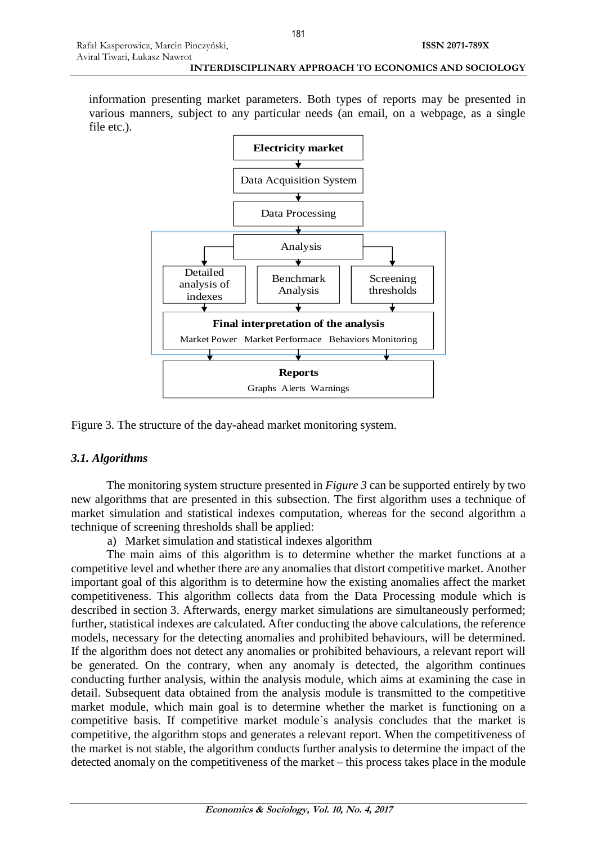information presenting market parameters. Both types of reports may be presented in various manners, subject to any particular needs (an email, on a webpage, as a single file etc.).



Figure 3. The structure of the day-ahead market monitoring system.

# *3.1. Algorithms*

The monitoring system structure presented in *Figure 3* can be supported entirely by two new algorithms that are presented in this subsection. The first algorithm uses a technique of market simulation and statistical indexes computation, whereas for the second algorithm a technique of screening thresholds shall be applied:

a) Market simulation and statistical indexes algorithm

The main aims of this algorithm is to determine whether the market functions at a competitive level and whether there are any anomalies that distort competitive market. Another important goal of this algorithm is to determine how the existing anomalies affect the market competitiveness. This algorithm collects data from the Data Processing module which is described in section 3. Afterwards, energy market simulations are simultaneously performed; further, statistical indexes are calculated. After conducting the above calculations, the reference models, necessary for the detecting anomalies and prohibited behaviours, will be determined. If the algorithm does not detect any anomalies or prohibited behaviours, a relevant report will be generated. On the contrary, when any anomaly is detected, the algorithm continues conducting further analysis, within the analysis module, which aims at examining the case in detail. Subsequent data obtained from the analysis module is transmitted to the competitive market module, which main goal is to determine whether the market is functioning on a competitive basis. If competitive market module`s analysis concludes that the market is competitive, the algorithm stops and generates a relevant report. When the competitiveness of the market is not stable, the algorithm conducts further analysis to determine the impact of the detected anomaly on the competitiveness of the market – this process takes place in the module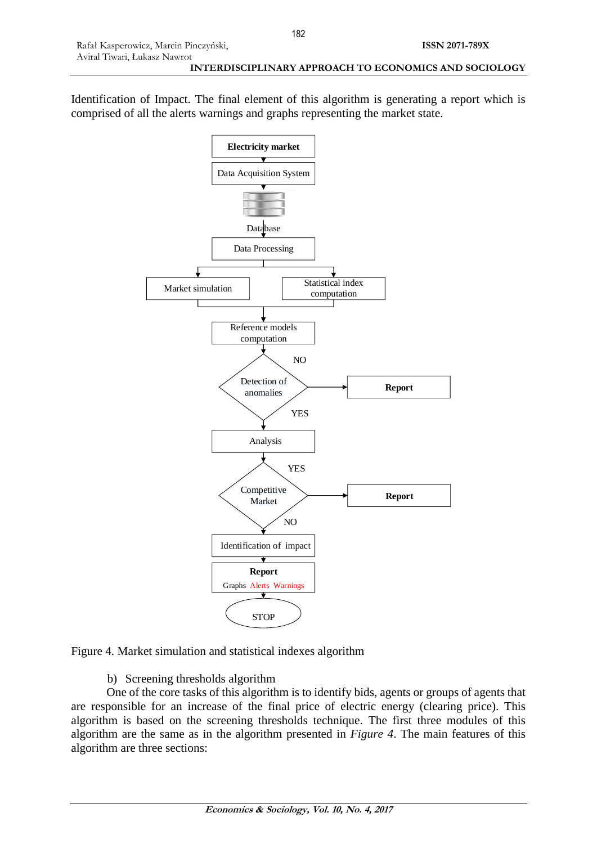Identification of Impact. The final element of this algorithm is generating a report which is comprised of all the alerts warnings and graphs representing the market state.



Figure 4. Market simulation and statistical indexes algorithm

b) Screening thresholds algorithm

One of the core tasks of this algorithm is to identify bids, agents or groups of agents that are responsible for an increase of the final price of electric energy (clearing price). This algorithm is based on the screening thresholds technique. The first three modules of this algorithm are the same as in the algorithm presented in *Figure 4*. The main features of this algorithm are three sections: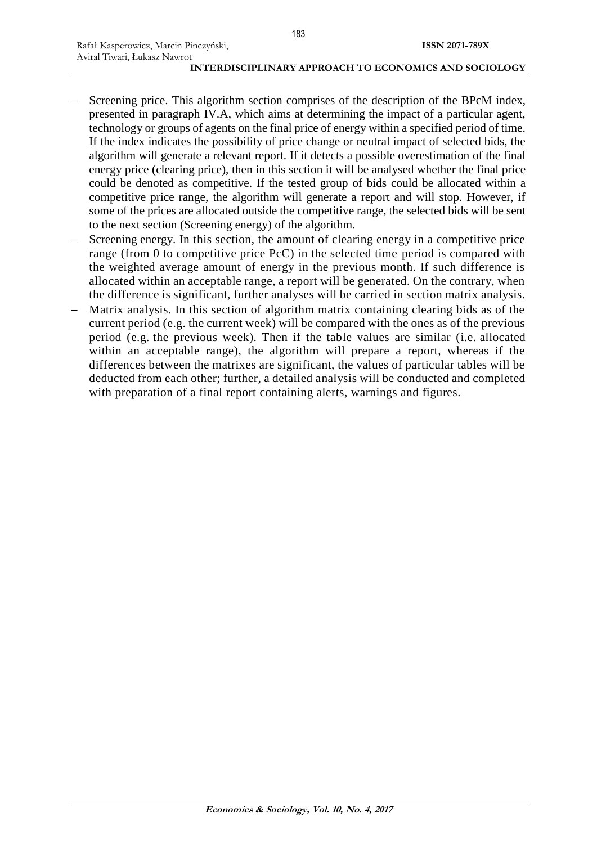- Screening price. This algorithm section comprises of the description of the BPcM index, presented in paragraph IV.A, which aims at determining the impact of a particular agent, technology or groups of agents on the final price of energy within a specified period of time. If the index indicates the possibility of price change or neutral impact of selected bids, the algorithm will generate a relevant report. If it detects a possible overestimation of the final energy price (clearing price), then in this section it will be analysed whether the final price could be denoted as competitive. If the tested group of bids could be allocated within a competitive price range, the algorithm will generate a report and will stop. However, if some of the prices are allocated outside the competitive range, the selected bids will be sent to the next section (Screening energy) of the algorithm.
- Screening energy. In this section, the amount of clearing energy in a competitive price range (from 0 to competitive price PcC) in the selected time period is compared with the weighted average amount of energy in the previous month. If such difference is allocated within an acceptable range, a report will be generated. On the contrary, when the difference is significant, further analyses will be carried in section matrix analysis.
- Matrix analysis. In this section of algorithm matrix containing clearing bids as of the current period (e.g. the current week) will be compared with the ones as of the previous period (e.g. the previous week). Then if the table values are similar (i.e. allocated within an acceptable range), the algorithm will prepare a report, whereas if the differences between the matrixes are significant, the values of particular tables will be deducted from each other; further, a detailed analysis will be conducted and completed with preparation of a final report containing alerts, warnings and figures.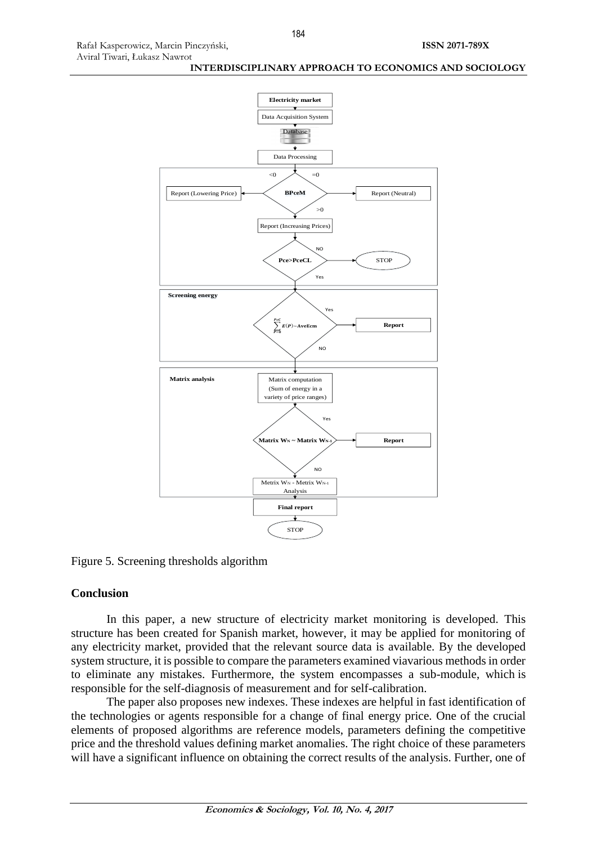

Figure 5. Screening thresholds algorithm

#### **Conclusion**

In this paper, a new structure of electricity market monitoring is developed. This structure has been created for Spanish market, however, it may be applied for monitoring of any electricity market, provided that the relevant source data is available. By the developed system structure, it is possible to compare the parameters examined viavarious methods in order to eliminate any mistakes. Furthermore, the system encompasses a sub-module, which is responsible for the self-diagnosis of measurement and for self-calibration.

The paper also proposes new indexes. These indexes are helpful in fast identification of the technologies or agents responsible for a change of final energy price. One of the crucial elements of proposed algorithms are reference models, parameters defining the competitive price and the threshold values defining market anomalies. The right choice of these parameters will have a significant influence on obtaining the correct results of the analysis. Further, one of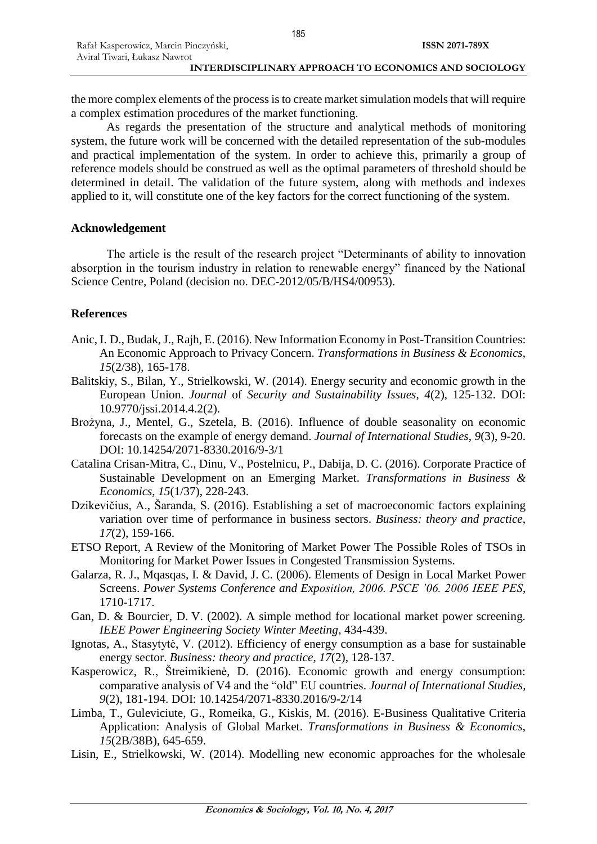the more complex elements of the process is to create market simulation models that will require a complex estimation procedures of the market functioning.

As regards the presentation of the structure and analytical methods of monitoring system, the future work will be concerned with the detailed representation of the sub-modules and practical implementation of the system. In order to achieve this, primarily a group of reference models should be construed as well as the optimal parameters of threshold should be determined in detail. The validation of the future system, along with methods and indexes applied to it, will constitute one of the key factors for the correct functioning of the system.

# **Acknowledgement**

The article is the result of the research project "Determinants of ability to innovation absorption in the tourism industry in relation to renewable energy" financed by the National Science Centre, Poland (decision no. DEC-2012/05/B/HS4/00953).

# **References**

- Anic, I. D., Budak, J., Rajh, E. (2016). New Information Economy in Post-Transition Countries: An Economic Approach to Privacy Concern. *Transformations in Business & Economics*, *15*(2/38), 165-178.
- Balitskiy, S., Bilan, Y., Strielkowski, W. (2014). Energy security and economic growth in the European Union. *Journal* of *Security and Sustainability Issues*, *4*(2), 125-132. DOI: 10.9770/jssi.2014.4.2(2).
- Brożyna, J., Mentel, G., Szetela, B. (2016). Influence of double seasonality on economic forecasts on the example of energy demand. *Journal of International Studies*, *9*(3), 9-20. DOI: 10.14254/2071-8330.2016/9-3/1
- Catalina Crisan-Mitra, C., Dinu, V., Postelnicu, P., Dabija, D. C. (2016). Corporate Practice of Sustainable Development on an Emerging Market. *Transformations in Business & Economics*, *15*(1/37), 228-243.
- Dzikevičius, A., Šaranda, S. (2016). Establishing a set of macroeconomic factors explaining variation over time of performance in business sectors. *Business: theory and practice*, *17*(2), 159-166.
- ETSO Report, A Review of the Monitoring of Market Power The Possible Roles of TSOs in Monitoring for Market Power Issues in Congested Transmission Systems.
- Galarza, R. J., Mqasqas, I. & David, J. C. (2006). Elements of Design in Local Market Power Screens. *Power Systems Conference and Exposition, 2006. PSCE '06. 2006 IEEE PES*, 1710-1717.
- Gan, D. & Bourcier, D. V. (2002). A simple method for locational market power screening. *IEEE Power Engineering Society Winter Meeting*, 434-439.
- Ignotas, A., Stasytytė, V. (2012). Efficiency of energy consumption as a base for sustainable energy sector. *Business: theory and practice*, *17*(2), 128-137.
- Kasperowicz, R., Štreimikienė, D. (2016). Economic growth and energy consumption: comparative analysis of V4 and the "old" EU countries. *Journal of International Studies*, *9*(2), 181-194. DOI: 10.14254/2071-8330.2016/9-2/14
- Limba, T., Guleviciute, G., Romeika, G., Kiskis, M. (2016). E-Business Qualitative Criteria Application: Analysis of Global Market. *Transformations in Business & Economics*, *15*(2B/38B), 645-659.
- Lisin, E., Strielkowski, W. (2014). Modelling new economic approaches for the wholesale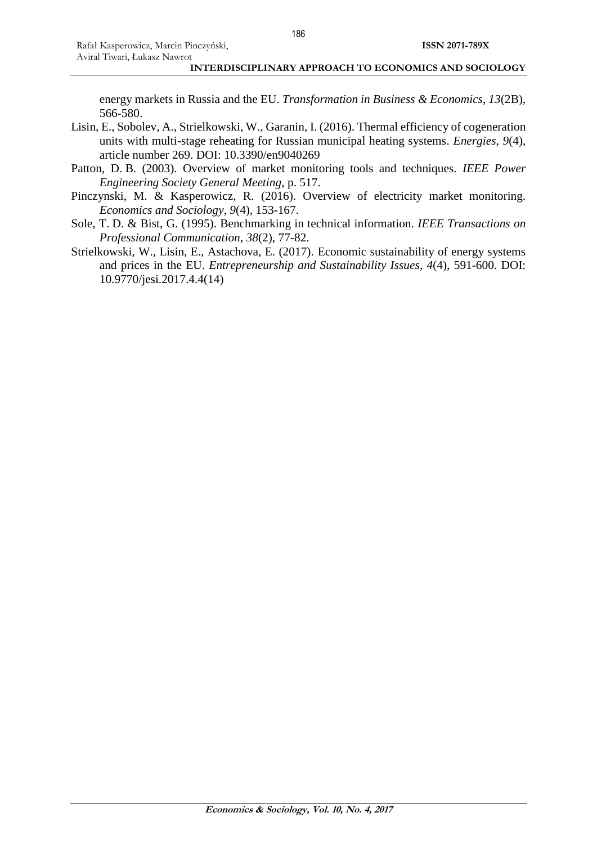energy markets in Russia and the EU. *Transformation in Business & Economics*, *13*(2B), 566-580.

- Lisin, E., Sobolev, A., Strielkowski, W., Garanin, I. (2016). Thermal efficiency of cogeneration units with multi-stage reheating for Russian municipal heating systems. *Energies*, *9*(4), article number 269. DOI: 10.3390/en9040269
- Patton, D. B. (2003). Overview of market monitoring tools and techniques. *IEEE Power Engineering Society General Meeting*, p. 517.
- Pinczynski, M. & Kasperowicz, R. (2016). Overview of electricity market monitoring. *Economics and Sociology*, *9*(4), 153-167.
- Sole, T. D. & Bist, G. (1995). Benchmarking in technical information. *IEEE Transactions on Professional Communication*, *38*(2), 77-82.
- Strielkowski, W., Lisin, E., Astachova, E. (2017). Economic sustainability of energy systems and prices in the EU. *Entrepreneurship and Sustainability Issues*, *4*(4), 591-600. DOI: 10.9770/jesi.2017.4.4(14)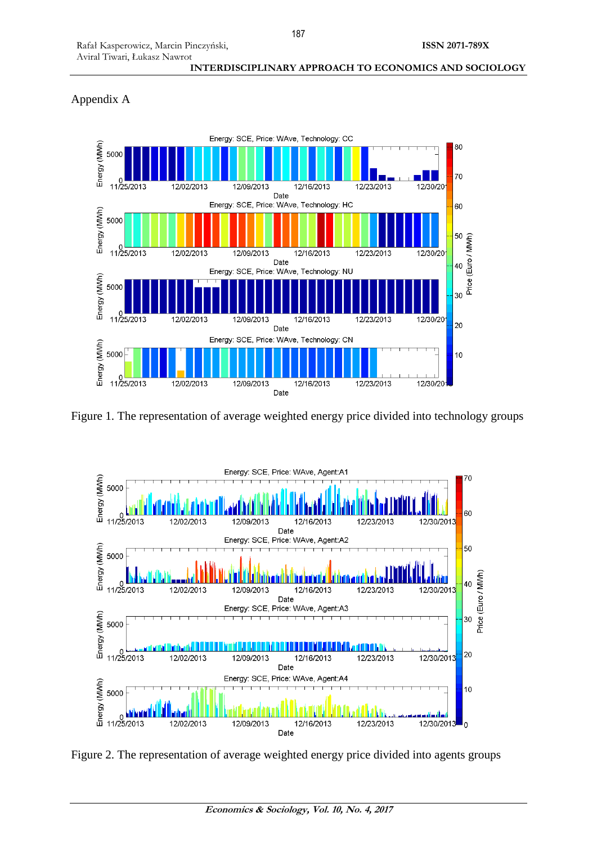



# Appendix A

Figure 1. The representation of average weighted energy price divided into technology groups



Figure 2. The representation of average weighted energy price divided into agents groups